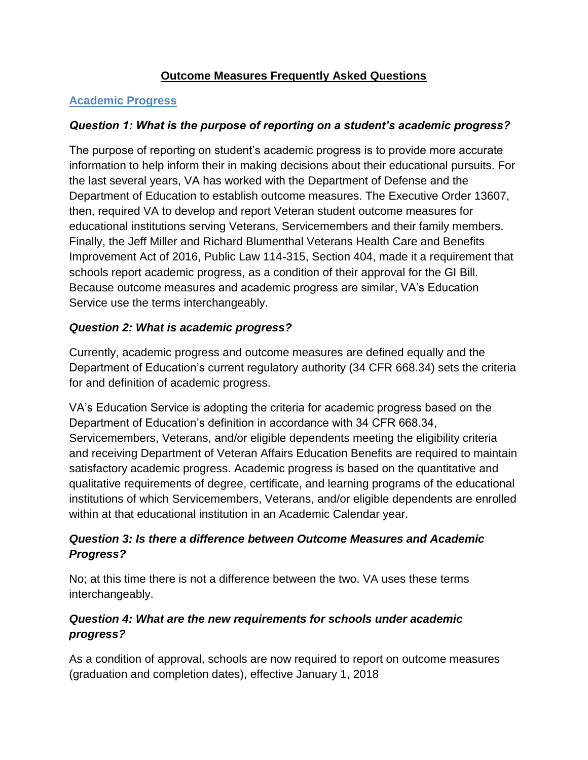## **Outcome Measures Frequently Asked Questions**

## **Academic Progress**

## *Question 1: What is the purpose of reporting on a student's academic progress?*

The purpose of reporting on student's academic progress is to provide more accurate information to help inform their in making decisions about their educational pursuits. For the last several years, VA has worked with the Department of Defense and the Department of Education to establish outcome measures. The Executive Order 13607, then, required VA to develop and report Veteran student outcome measures for educational institutions serving Veterans, Servicemembers and their family members. Finally, the Jeff Miller and Richard Blumenthal Veterans Health Care and Benefits Improvement Act of 2016, Public Law 114-315, Section 404, made it a requirement that schools report academic progress, as a condition of their approval for the GI Bill. Because outcome measures and academic progress are similar, VA's Education Service use the terms interchangeably.

## *Question 2: What is academic progress?*

Currently, academic progress and outcome measures are defined equally and the Department of Education's current regulatory authority (34 CFR 668.34) sets the criteria for and definition of academic progress.

VA's Education Service is adopting the criteria for academic progress based on the Department of Education's definition in accordance with 34 CFR 668.34, Servicemembers, Veterans, and/or eligible dependents meeting the eligibility criteria and receiving Department of Veteran Affairs Education Benefits are required to maintain satisfactory academic progress. Academic progress is based on the quantitative and qualitative requirements of degree, certificate, and learning programs of the educational institutions of which Servicemembers, Veterans, and/or eligible dependents are enrolled within at that educational institution in an Academic Calendar year.

## *Question 3: Is there a difference between Outcome Measures and Academic Progress?*

No; at this time there is not a difference between the two. VA uses these terms interchangeably.

# *Question 4: What are the new requirements for schools under academic progress?*

As a condition of approval, schools are now required to report on outcome measures (graduation and completion dates), effective January 1, 2018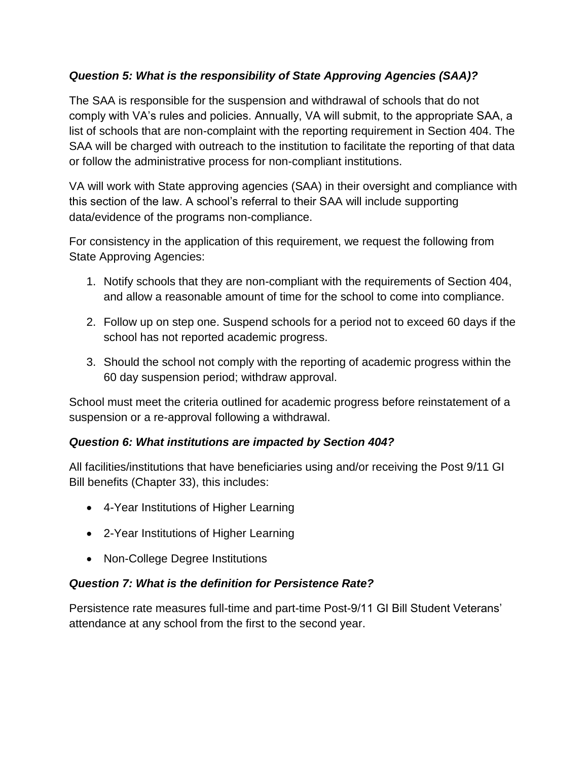### *Question 5: What is the responsibility of State Approving Agencies (SAA)?*

The SAA is responsible for the suspension and withdrawal of schools that do not comply with VA's rules and policies. Annually, VA will submit, to the appropriate SAA, a list of schools that are non-complaint with the reporting requirement in Section 404. The SAA will be charged with outreach to the institution to facilitate the reporting of that data or follow the administrative process for non-compliant institutions.

VA will work with State approving agencies (SAA) in their oversight and compliance with this section of the law. A school's referral to their SAA will include supporting data/evidence of the programs non-compliance.

For consistency in the application of this requirement, we request the following from State Approving Agencies:

- 1. Notify schools that they are non-compliant with the requirements of Section 404, and allow a reasonable amount of time for the school to come into compliance.
- 2. Follow up on step one. Suspend schools for a period not to exceed 60 days if the school has not reported academic progress.
- 3. Should the school not comply with the reporting of academic progress within the 60 day suspension period; withdraw approval.

School must meet the criteria outlined for academic progress before reinstatement of a suspension or a re-approval following a withdrawal.

#### *Question 6: What institutions are impacted by Section 404?*

All facilities/institutions that have beneficiaries using and/or receiving the Post 9/11 GI Bill benefits (Chapter 33), this includes:

- 4-Year Institutions of Higher Learning
- 2-Year Institutions of Higher Learning
- Non-College Degree Institutions

#### *Question 7: What is the definition for Persistence Rate?*

Persistence rate measures full-time and part-time Post-9/11 GI Bill Student Veterans' attendance at any school from the first to the second year.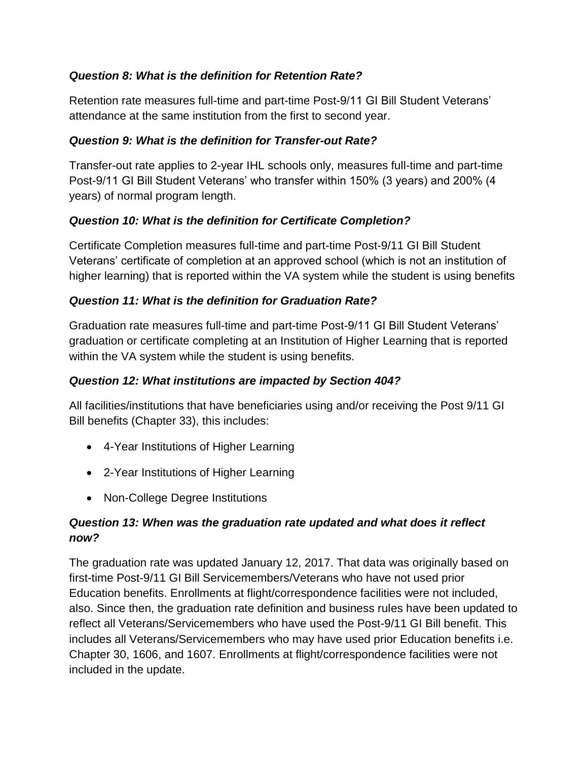### *Question 8: What is the definition for Retention Rate?*

Retention rate measures full-time and part-time Post-9/11 GI Bill Student Veterans' attendance at the same institution from the first to second year.

#### *Question 9: What is the definition for Transfer-out Rate?*

Transfer-out rate applies to 2-year IHL schools only, measures full-time and part-time Post-9/11 GI Bill Student Veterans' who transfer within 150% (3 years) and 200% (4 years) of normal program length.

### *Question 10: What is the definition for Certificate Completion?*

Certificate Completion measures full-time and part-time Post-9/11 GI Bill Student Veterans' certificate of completion at an approved school (which is not an institution of higher learning) that is reported within the VA system while the student is using benefits

### *Question 11: What is the definition for Graduation Rate?*

Graduation rate measures full-time and part-time Post-9/11 GI Bill Student Veterans' graduation or certificate completing at an Institution of Higher Learning that is reported within the VA system while the student is using benefits.

#### *Question 12: What institutions are impacted by Section 404?*

All facilities/institutions that have beneficiaries using and/or receiving the Post 9/11 GI Bill benefits (Chapter 33), this includes:

- 4-Year Institutions of Higher Learning
- 2-Year Institutions of Higher Learning
- Non-College Degree Institutions

### *Question 13: When was the graduation rate updated and what does it reflect now?*

The graduation rate was updated January 12, 2017. That data was originally based on first-time Post-9/11 GI Bill Servicemembers/Veterans who have not used prior Education benefits. Enrollments at flight/correspondence facilities were not included, also. Since then, the graduation rate definition and business rules have been updated to reflect all Veterans/Servicemembers who have used the Post-9/11 GI Bill benefit. This includes all Veterans/Servicemembers who may have used prior Education benefits i.e. Chapter 30, 1606, and 1607. Enrollments at flight/correspondence facilities were not included in the update.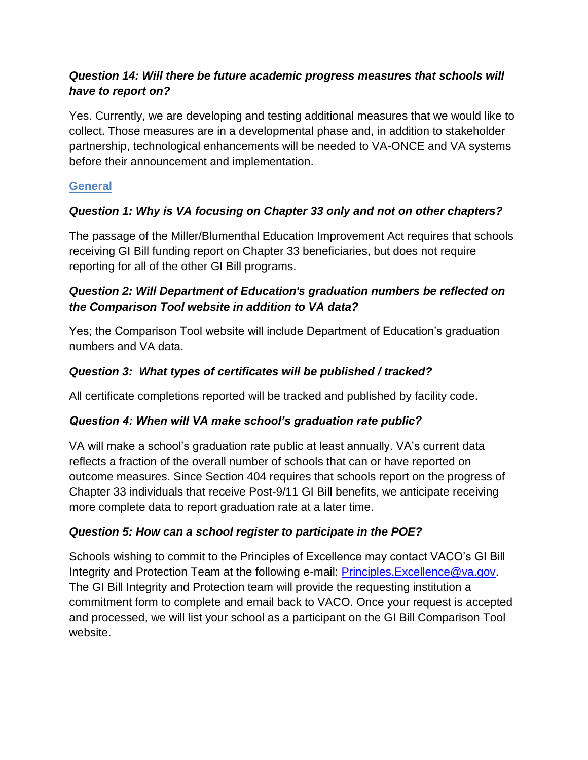## *Question 14: Will there be future academic progress measures that schools will have to report on?*

Yes. Currently, we are developing and testing additional measures that we would like to collect. Those measures are in a developmental phase and, in addition to stakeholder partnership, technological enhancements will be needed to VA-ONCE and VA systems before their announcement and implementation.

## **General**

# *Question 1: Why is VA focusing on Chapter 33 only and not on other chapters?*

The passage of the Miller/Blumenthal Education Improvement Act requires that schools receiving GI Bill funding report on Chapter 33 beneficiaries, but does not require reporting for all of the other GI Bill programs.

# *Question 2: Will Department of Education's graduation numbers be reflected on the Comparison Tool website in addition to VA data?*

Yes; the Comparison Tool website will include Department of Education's graduation numbers and VA data.

## *Question 3: What types of certificates will be published / tracked?*

All certificate completions reported will be tracked and published by facility code.

## *Question 4: When will VA make school's graduation rate public?*

VA will make a school's graduation rate public at least annually. VA's current data reflects a fraction of the overall number of schools that can or have reported on outcome measures. Since Section 404 requires that schools report on the progress of Chapter 33 individuals that receive Post-9/11 GI Bill benefits, we anticipate receiving more complete data to report graduation rate at a later time.

## *Question 5: How can a school register to participate in the POE?*

Schools wishing to commit to the Principles of Excellence may contact VACO's GI Bill Integrity and Protection Team at the following e-mail: [Principles.Excellence@va.gov.](mailto:Principles.Excellence@va.gov) The GI Bill Integrity and Protection team will provide the requesting institution a commitment form to complete and email back to VACO. Once your request is accepted and processed, we will list your school as a participant on the GI Bill Comparison Tool website.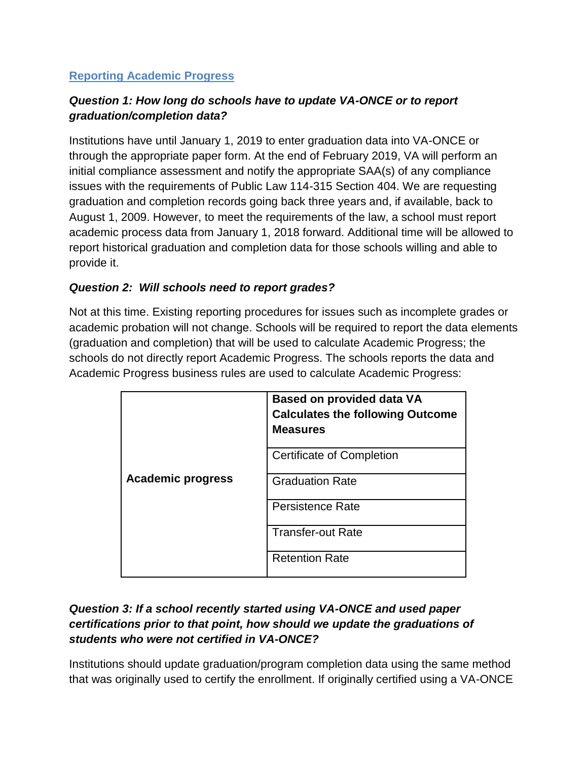### **Reporting Academic Progress**

## *Question 1: How long do schools have to update VA-ONCE or to report graduation/completion data?*

Institutions have until January 1, 2019 to enter graduation data into VA-ONCE or through the appropriate paper form. At the end of February 2019, VA will perform an initial compliance assessment and notify the appropriate SAA(s) of any compliance issues with the requirements of Public Law 114-315 Section 404. We are requesting graduation and completion records going back three years and, if available, back to August 1, 2009. However, to meet the requirements of the law, a school must report academic process data from January 1, 2018 forward. Additional time will be allowed to report historical graduation and completion data for those schools willing and able to provide it.

#### *Question 2: Will schools need to report grades?*

Not at this time. Existing reporting procedures for issues such as incomplete grades or academic probation will not change. Schools will be required to report the data elements (graduation and completion) that will be used to calculate Academic Progress; the schools do not directly report Academic Progress. The schools reports the data and Academic Progress business rules are used to calculate Academic Progress:

|                          | <b>Based on provided data VA</b><br><b>Calculates the following Outcome</b><br><b>Measures</b> |
|--------------------------|------------------------------------------------------------------------------------------------|
|                          | <b>Certificate of Completion</b>                                                               |
| <b>Academic progress</b> | <b>Graduation Rate</b>                                                                         |
|                          | <b>Persistence Rate</b>                                                                        |
|                          | <b>Transfer-out Rate</b>                                                                       |
|                          | <b>Retention Rate</b>                                                                          |

## *Question 3: If a school recently started using VA-ONCE and used paper certifications prior to that point, how should we update the graduations of students who were not certified in VA-ONCE?*

Institutions should update graduation/program completion data using the same method that was originally used to certify the enrollment. If originally certified using a VA-ONCE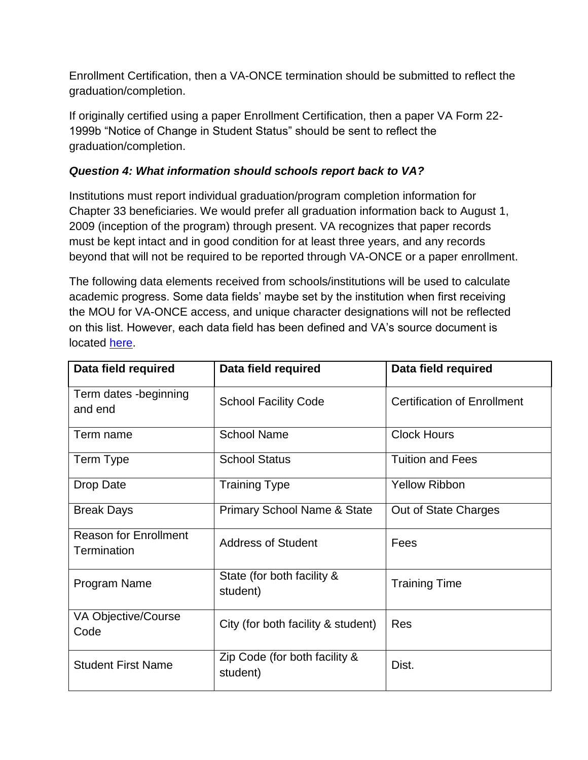Enrollment Certification, then a VA-ONCE termination should be submitted to reflect the graduation/completion.

If originally certified using a paper Enrollment Certification, then a paper VA Form 22- 1999b "Notice of Change in Student Status" should be sent to reflect the graduation/completion.

## *Question 4: What information should schools report back to VA?*

Institutions must report individual graduation/program completion information for Chapter 33 beneficiaries. We would prefer all graduation information back to August 1, 2009 (inception of the program) through present. VA recognizes that paper records must be kept intact and in good condition for at least three years, and any records beyond that will not be required to be reported through VA-ONCE or a paper enrollment.

The following data elements received from schools/institutions will be used to calculate academic progress. Some data fields' maybe set by the institution when first receiving the MOU for VA-ONCE access, and unique character designations will not be reflected on this list. However, each data field has been defined and VA's source document is located [here.](https://www.benefits.va.gov/GIBILL/docs/vaonce/VAONCESCOPPPv8Conv508.pptx)

| Data field required                         | Data field required                       | Data field required                |
|---------------------------------------------|-------------------------------------------|------------------------------------|
| Term dates -beginning<br>and end            | <b>School Facility Code</b>               | <b>Certification of Enrollment</b> |
| Term name                                   | <b>School Name</b>                        | <b>Clock Hours</b>                 |
| Term Type                                   | <b>School Status</b>                      | <b>Tuition and Fees</b>            |
| Drop Date                                   | <b>Training Type</b>                      | <b>Yellow Ribbon</b>               |
| <b>Break Days</b>                           | <b>Primary School Name &amp; State</b>    | Out of State Charges               |
| <b>Reason for Enrollment</b><br>Termination | <b>Address of Student</b>                 | Fees                               |
| Program Name                                | State (for both facility &<br>student)    | <b>Training Time</b>               |
| VA Objective/Course<br>Code                 | City (for both facility & student)        | <b>Res</b>                         |
| <b>Student First Name</b>                   | Zip Code (for both facility &<br>student) | Dist.                              |